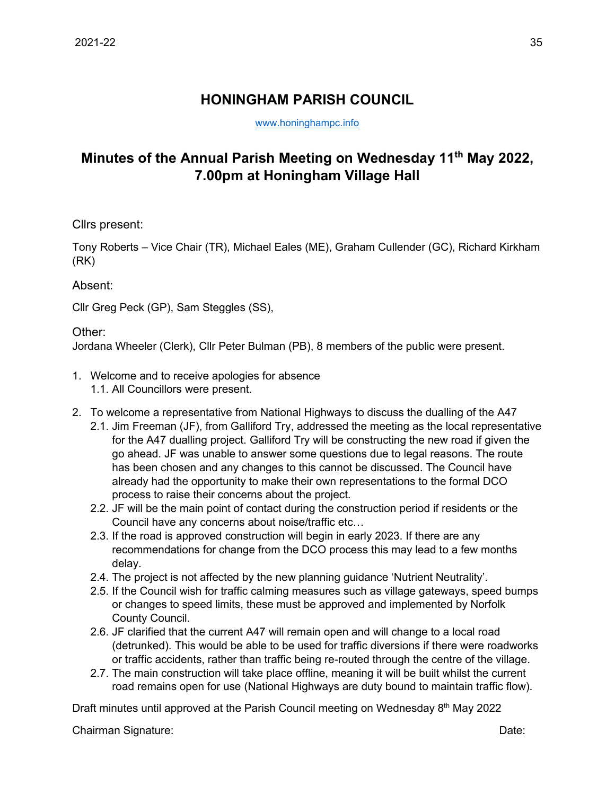## **HONINGHAM PARISH COUNCIL**

[www.honinghampc.info](http://www.honinghampc.info/)

## **Minutes of the Annual Parish Meeting on Wednesday 11th May 2022, 7.00pm at Honingham Village Hall**

Cllrs present:

Tony Roberts – Vice Chair (TR), Michael Eales (ME), Graham Cullender (GC), Richard Kirkham (RK)

Absent:

Cllr Greg Peck (GP), Sam Steggles (SS),

Other:

Jordana Wheeler (Clerk), Cllr Peter Bulman (PB), 8 members of the public were present.

- 1. Welcome and to receive apologies for absence 1.1. All Councillors were present.
- 2. To welcome a representative from National Highways to discuss the dualling of the A47
	- 2.1. Jim Freeman (JF), from Galliford Try, addressed the meeting as the local representative for the A47 dualling project. Galliford Try will be constructing the new road if given the go ahead. JF was unable to answer some questions due to legal reasons. The route has been chosen and any changes to this cannot be discussed. The Council have already had the opportunity to make their own representations to the formal DCO process to raise their concerns about the project.
	- 2.2. JF will be the main point of contact during the construction period if residents or the Council have any concerns about noise/traffic etc…
	- 2.3. If the road is approved construction will begin in early 2023. If there are any recommendations for change from the DCO process this may lead to a few months delay.
	- 2.4. The project is not affected by the new planning guidance 'Nutrient Neutrality'.
	- 2.5. If the Council wish for traffic calming measures such as village gateways, speed bumps or changes to speed limits, these must be approved and implemented by Norfolk County Council.
	- 2.6. JF clarified that the current A47 will remain open and will change to a local road (detrunked). This would be able to be used for traffic diversions if there were roadworks or traffic accidents, rather than traffic being re-routed through the centre of the village.
	- 2.7. The main construction will take place offline, meaning it will be built whilst the current road remains open for use (National Highways are duty bound to maintain traffic flow).

Draft minutes until approved at the Parish Council meeting on Wednesday 8<sup>th</sup> May 2022

Chairman Signature: Date: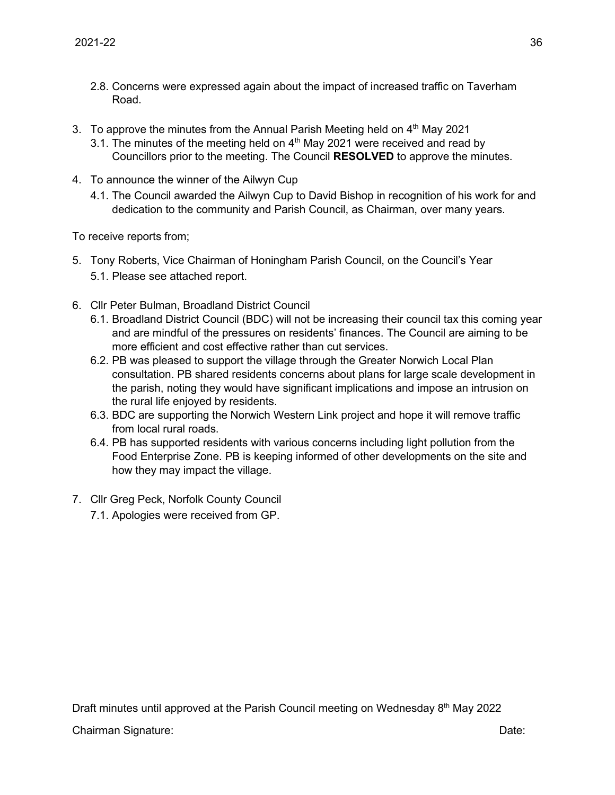- 2.8. Concerns were expressed again about the impact of increased traffic on Taverham Road.
- 3. To approve the minutes from the Annual Parish Meeting held on  $4<sup>th</sup>$  May 2021
	- 3.1. The minutes of the meeting held on  $4<sup>th</sup>$  May 2021 were received and read by Councillors prior to the meeting. The Council **RESOLVED** to approve the minutes.
- 4. To announce the winner of the Ailwyn Cup
	- 4.1. The Council awarded the Ailwyn Cup to David Bishop in recognition of his work for and dedication to the community and Parish Council, as Chairman, over many years.

To receive reports from;

- 5. Tony Roberts, Vice Chairman of Honingham Parish Council, on the Council's Year 5.1. Please see attached report.
- 6. Cllr Peter Bulman, Broadland District Council
	- 6.1. Broadland District Council (BDC) will not be increasing their council tax this coming year and are mindful of the pressures on residents' finances. The Council are aiming to be more efficient and cost effective rather than cut services.
	- 6.2. PB was pleased to support the village through the Greater Norwich Local Plan consultation. PB shared residents concerns about plans for large scale development in the parish, noting they would have significant implications and impose an intrusion on the rural life enjoyed by residents.
	- 6.3. BDC are supporting the Norwich Western Link project and hope it will remove traffic from local rural roads.
	- 6.4. PB has supported residents with various concerns including light pollution from the Food Enterprise Zone. PB is keeping informed of other developments on the site and how they may impact the village.
- 7. Cllr Greg Peck, Norfolk County Council
	- 7.1. Apologies were received from GP.

Draft minutes until approved at the Parish Council meeting on Wednesday 8<sup>th</sup> May 2022 Chairman Signature: Date: Date: Date: Date: Date: Date: Date: Date: Date: Date: Date: Date: Date: Date: Date: Date: Date: Date: Date: Date: Date: Date: Date: Date: Date: Date: Date: Date: Date: Date: Date: Date: Date: Date